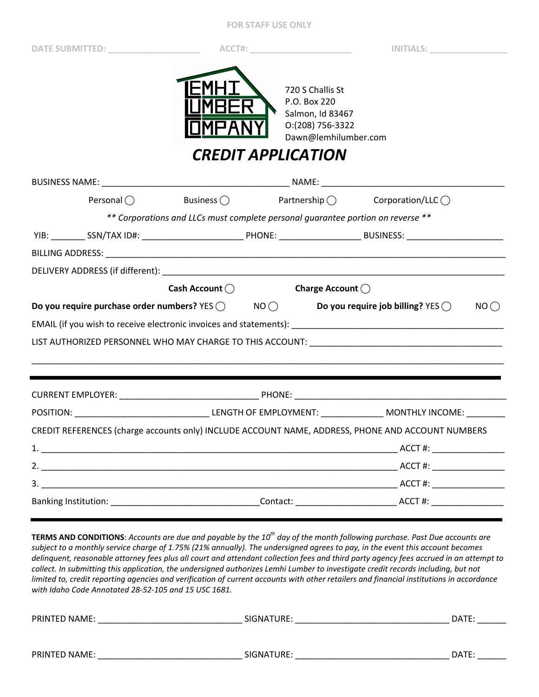## **FOR STAFF USE ONLY**

**DATE SUBMITTED: \_\_\_\_\_\_\_\_\_\_\_\_\_\_\_\_\_\_\_ ACCT#: \_\_\_\_\_\_\_\_\_\_\_\_\_\_\_\_\_\_\_\_\_ INITIALS: \_\_\_\_\_\_\_\_\_\_\_\_\_\_\_\_** 



720 S Challis St P.O. Box 220 Salmon, Id 83467 O:(208) 756-3322 Dawn@lemhilumber.com

*CREDIT APPLICATION* 

| Personal $\bigcap$                                                                                             | Business $\bigcirc$                                                                                            | $\text{Partnership} \bigcirc$ Corporation/LLC $\bigcirc$                                                                               |
|----------------------------------------------------------------------------------------------------------------|----------------------------------------------------------------------------------------------------------------|----------------------------------------------------------------------------------------------------------------------------------------|
|                                                                                                                |                                                                                                                | ** Corporations and LLCs must complete personal guarantee portion on reverse **                                                        |
|                                                                                                                |                                                                                                                | YIB: _________ SSN/TAX ID#: ________________________________PHONE: _________________________________BUSINESS: ________________________ |
|                                                                                                                |                                                                                                                |                                                                                                                                        |
|                                                                                                                |                                                                                                                |                                                                                                                                        |
|                                                                                                                | Cash Account ( Cash Account C Charge Account C Cash Account C Charge Account C Cash Account C Cash Account C C |                                                                                                                                        |
| Do you require purchase order numbers? YES $\bigcirc$ NO $\bigcirc$ Do you require job billing? YES $\bigcirc$ |                                                                                                                | NO()                                                                                                                                   |
|                                                                                                                |                                                                                                                |                                                                                                                                        |
|                                                                                                                |                                                                                                                |                                                                                                                                        |
|                                                                                                                |                                                                                                                |                                                                                                                                        |
| ,我们也不会不会不会。""我们的人,我们也不会不会不会。""我们的人,我们也不会不会不会不会。""我们的人,我们也不会不会不会。""我们的人,我们也不会不会不会                               |                                                                                                                |                                                                                                                                        |
|                                                                                                                |                                                                                                                |                                                                                                                                        |
|                                                                                                                |                                                                                                                |                                                                                                                                        |
|                                                                                                                |                                                                                                                | CREDIT REFERENCES (charge accounts only) INCLUDE ACCOUNT NAME, ADDRESS, PHONE AND ACCOUNT NUMBERS                                      |
|                                                                                                                |                                                                                                                |                                                                                                                                        |
|                                                                                                                |                                                                                                                |                                                                                                                                        |
|                                                                                                                |                                                                                                                |                                                                                                                                        |
|                                                                                                                |                                                                                                                |                                                                                                                                        |

**TERMS AND CONDITIONS**: *Accounts are due and payable by the 10th day of the month following purchase. Past Due accounts are subject to a monthly service charge of 1.75% (21% annually). The undersigned agrees to pay, in the event this account becomes delinquent, reasonable attorney fees plus all court and attendant collection fees and third party agency fees accrued in an attempt to collect. In submitting this application, the undersigned authorizes Lemhi Lumber to investigate credit records including, but not limited to, credit reporting agencies and verification of current accounts with other retailers and financial institutions in accordance with Idaho Code Annotated 28-52-105 and 15 USC 1681.* 

| PRINTED NAME: | SIGNATURE: | DATE: |
|---------------|------------|-------|
|               |            |       |
| PRINTED NAME: | SIGNATURE: | DATE: |
|               |            |       |